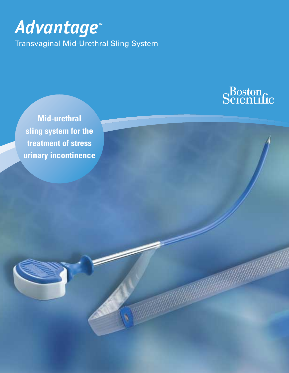# *Advantage™*

Transvaginal Mid-Urethral Sling System



**Mid-urethral sling system for the treatment of stress urinary incontinence**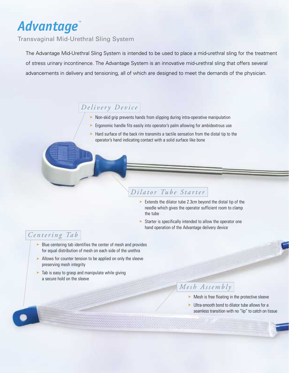# *Advantage™*

Transvaginal Mid-Urethral Sling System

The Advantage Mid-Urethral Sling System is intended to be used to place a mid-urethral sling for the treatment of stress urinary incontinence. The Advantage System is an innovative mid-urethral sling that offers several advancements in delivery and tensioning, all of which are designed to meet the demands of the physician.

# *Delivery Device*

- ➤ Non-skid grip prevents hands from slipping during intra-operative manipulation
- ► Ergonomic handle fits easily into operator's palm allowing for ambidextrous use
- ➤ Hard surface of the back rim transmits a tactile sensation from the distal tip to the operator's hand indicating contact with a solid surface like bone

# *Dilator Tube Starter*

- ➤ Extends the dilator tube 2.3cm beyond the distal tip of the needle which gives the operator sufficient room to clamp the tube
- ► Starter is specifically intended to allow the operator one hand operation of the Advantage delivery device

## *Ce n t e r i n g Ta b*

- ➤ Blue centering tab identifies the center of mesh and provides for equal distribution of mesh on each side of the urethra
- ► Allows for counter tension to be applied on only the sleeve preserving mesh integrity
- ➤ Tab is easy to grasp and manipulate while giving a secure hold on the sleeve

# *Mesh Assembly*

- ► Mesh is free floating in the protective sleeve
- ► Ultra-smooth bond to dilator tube allows for a seamless transition with no "lip" to catch on tissue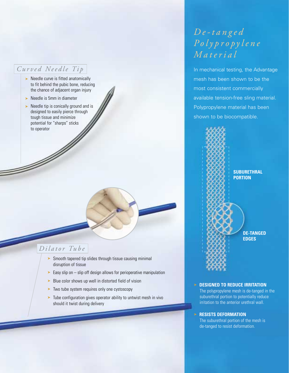## *Curved Needle Tip*

- ➤ Needle curve is fitted anatomically to fit behind the pubic bone, reducing the chance of adjacent organ injury
- ➤ Needle is 5mm in diameter
- ► Needle tip is conically ground and is designed to easily pierce through tough tissue and minimize potential for "sharps" sticks to operator of the contract of the contract of the contract of the contract of the contract of the contract of the contract of the contract of the contract of the contract of the contract of the contract of the contract of

## *Dilator Tube*

- ► Smooth tapered tip slides through tissue causing minimal disruption of tissue
- Easy slip on slip off design allows for perioperative manipulation
- ► Blue color shows up well in distorted field of vision
- ➤ Two tube system requires only one cystoscopy
- ➤ Tube configuration gives operator ability to untwist mesh in vivo should it twist during delivery

# *De-tanged Polypropylene Material*

In mechanical testing, the Advantage mesh has been shown to be the most consistent commercially available tension-free sling material. Polypropylene material has been shown to be biocompatible.



### ➤ **DESIGNED TO REDUCE IRRITATION**

The polypropylene mesh is de-tanged in the suburethral portion to potentially reduce irritation to the anterior urethral wall.

### ➤ **RESISTS DEFORMATION**

The suburethral portion of the mesh is de-tanged to resist deformation.